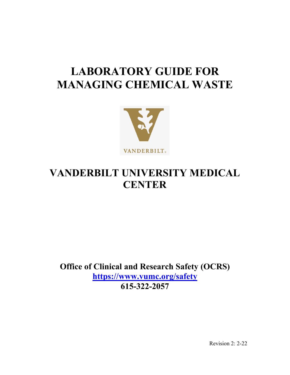# **LABORATORY GUIDE FOR MANAGING CHEMICAL WASTE**



## **VANDERBILT UNIVERSITY MEDICAL CENTER**

**Office of Clinical and Research Safety (OCRS) <https://www.vumc.org/safety> 615-322-2057** 

Revision 2: 2-22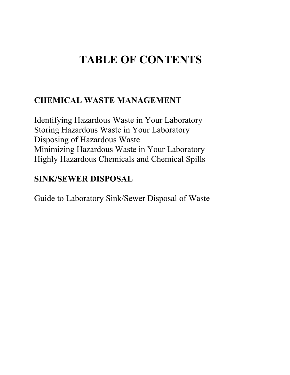# **TABLE OF CONTENTS**

## **CHEMICAL WASTE MANAGEMENT**

Identifying Hazardous Waste in Your Laboratory Storing Hazardous Waste in Your Laboratory Disposing of Hazardous Waste Minimizing Hazardous Waste in Your Laboratory Highly Hazardous Chemicals and Chemical Spills

## **SINK/SEWER DISPOSAL**

Guide to Laboratory Sink/Sewer Disposal of Waste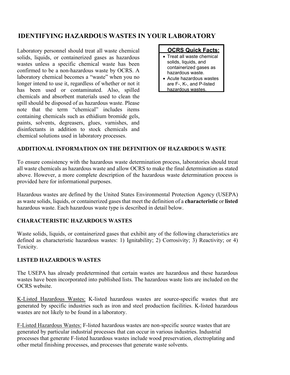## **IDENTIFYING HAZARDOUS WASTES IN YOUR LABORATORY**

Laboratory personnel should treat all waste chemical solids, liquids, or containerized gases as hazardous wastes unless a specific chemical waste has been confirmed to be a non-hazardous waste by OCRS. A laboratory chemical becomes a "waste" when you no longer intend to use it, regardless of whether or not it has been used or contaminated. Also, spilled chemicals and absorbent materials used to clean the spill should be disposed of as hazardous waste. Please note that the term "chemical" includes items containing chemicals such as ethidium bromide gels, paints, solvents, degreasers, glues, varnishes, and disinfectants in addition to stock chemicals and chemical solutions used in laboratory processes.



- Treat all waste chemical solids, liquids, and containerized gases as hazardous waste.
- Acute hazardous wastes are F-, K-, and P-listed hazardous wastes.

#### **ADDITIONAL INFORMATION ON THE DEFINITION OF HAZARDOUS WASTE**

To ensure consistency with the hazardous waste determination process, laboratories should treat all waste chemicals as hazardous waste and allow OCRS to make the final determination as stated above. However, a more complete description of the hazardous waste determination process is provided here for informational purposes.

Hazardous wastes are defined by the United States Environmental Protection Agency (USEPA) as waste solids, liquids, or containerized gases that meet the definition of a **characteristic** or **listed**  hazardous waste. Each hazardous waste type is described in detail below.

#### **CHARACTERISTIC HAZARDOUS WASTES**

Waste solids, liquids, or containerized gases that exhibit any of the following characteristics are defined as characteristic hazardous wastes: 1) Ignitability; 2) Corrosivity; 3) Reactivity; or 4) Toxicity.

#### **LISTED HAZARDOUS WASTES**

The USEPA has already predetermined that certain wastes are hazardous and these hazardous wastes have been incorporated into published lists. The hazardous waste lists are included on the OCRS website.

K-Listed Hazardous Wastes: K-listed hazardous wastes are source-specific wastes that are generated by specific industries such as iron and steel production facilities. K-listed hazardous wastes are not likely to be found in a laboratory.

F-Listed Hazardous Wastes: F-listed hazardous wastes are non-specific source wastes that are generated by particular industrial processes that can occur in various industries. Industrial processes that generate F-listed hazardous wastes include wood preservation, electroplating and other metal finishing processes, and processes that generate waste solvents.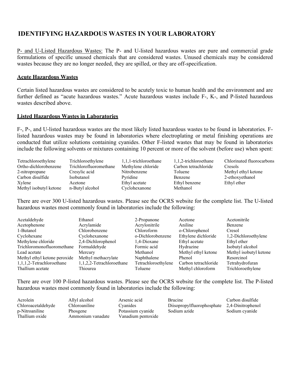## **IDENTIFYING HAZARDOUS WASTES IN YOUR LABORATORY**

P- and U-Listed Hazardous Wastes: The P- and U-listed hazardous wastes are pure and commercial grade formulations of specific unused chemicals that are considered wastes. Unused chemicals may be considered wastes because they are no longer needed, they are spilled, or they are off-specification.

#### **Acute Hazardous Wastes**

Certain listed hazardous wastes are considered to be acutely toxic to human health and the environment and are further defined as "acute hazardous wastes." Acute hazardous wastes include F-, K-, and P-listed hazardous wastes described above.

#### **Listed Hazardous Wastes in Laboratories**

F-, P-, and U-listed hazardous wastes are the most likely listed hazardous wastes to be found in laboratories. Flisted hazardous wastes may be found in laboratories where electroplating or metal finishing operations are conducted that utilize solutions containing cyanides. Other F-listed wastes that may be found in laboratories include the following solvents or mixtures containing 10 percent or more of the solvent (before use) when spent:

| Tetrachloroethylene    | Trichloroethylene      | 1,1,1-trichloroethane | 1,1,2-trichloroethane | Chlorinated fluorocarbons |
|------------------------|------------------------|-----------------------|-----------------------|---------------------------|
| Ortho-dichlorobenzene  | Trichlorofluoromethane | Methylene chloride    | Carbon tetrachloride  | Cresols                   |
| 2-nitropropane         | Cresylic acid          | Nitrobenzene          | Toluene               | Methyl ethyl ketone       |
| Carbon disulfide       | <i>Isobutanol</i>      | Pyridine              | Benzene               | 2-ethoxyethanol           |
| Xylene                 | Acetone                | Ethyl acetate         | Ethyl benzene         | Ethyl ether               |
| Methyl isobutyl ketone | n-Butyl alcohol        | Cyclohexanone         | Methanol              |                           |

There are over 300 U-listed hazardous wastes. Please see the OCRS website for the complete list. The U-listed hazardous wastes most commonly found in laboratories include the following:

| Acetaldehyde                 | Ethanol                   | 2-Propanone         | Acetone              | Acetonitrile           |
|------------------------------|---------------------------|---------------------|----------------------|------------------------|
| Acetophenone                 | Acrylamide                | Acrylonitrile       | Aniline              | Benzene                |
| 1-Butanol                    | Chlorobenzene             | Chloroform          | o-Chlorophenol       | Cresol                 |
| Cyclohexane                  | Cyclohexanone             | o-Dichlorobenzene   | Ethylene dichloride  | 1,2-Dichloroethylene   |
| Methylene chloride           | 2,4-Dichlorophenol        | 1.4-Dioxane         | Ethyl acetate        | Ethyl ether            |
| Trichloromonofluoromethane   | Formaldehyde              | Formic acid         | Hydrazine            | Isobutyl alcohol       |
| Lead acetate                 | Mercury                   | Methanol            | Methyl ethyl ketone  | Methyl isobutyl ketone |
| Methyl ethyl ketone peroxide | Methyl methacrylate       | Naphthalene         | Phenol               | Resorcinol             |
| 1,1,1,2-Tetrachloroethane    | 1,1,2,2-Tetrachloroethane | Tetrachloroethylene | Carbon tetrachloride | Tetrahydrofuran        |
| Thallium acetate             | Thiourea                  | Toluene             | Methyl chloroform    | Trichloroethylene      |

There are over 100 P-listed hazardous wastes. Please see the OCRS website for the complete list. The P-listed hazardous wastes most commonly found in laboratories include the following:

| Acrolein           | Allyl alcohol     | Arsenic acid       | Brucine                                      | Carbon disulfide |
|--------------------|-------------------|--------------------|----------------------------------------------|------------------|
| Chloroacetaldehyde | Chloroaniline     | Cyanides           | Diisopropylfluorophosphate 2,4-Dinitrophenol |                  |
| p-Nitroaniline     | Phosgene          | Potassium cyanide  | Sodium azide                                 | Sodium cyanide   |
| Thallium oxide     | Ammonium vanadate | Vanadium pentoxide |                                              |                  |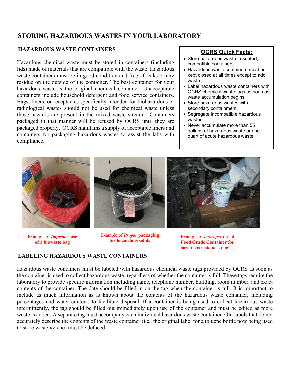## **STORING HAZARDOUS WASTES IN YOUR LABORATORY**

#### **HAZARDOUS WASTE CONTAINERS**

Hazardous chemical waste must be stored in containers (including lids) made of materials that are compatible with the waste. Hazardous waste containers must be in good condition and free of leaks or any residue on the outside of the container. The best container for your hazardous waste is the original chemical container. Unacceptable containers include household detergent and food service containers. Bags, liners, or receptacles specifically intended for biohazardous or radiological wastes should not be used for chemical waste unless those hazards are present in the mixed waste stream. Containers packaged in that manner will be refused by OCRS until they are packaged properly. OCRS maintains a supply of acceptable liners and containers for packaging hazardous wastes to assist the labs with compliance.

#### **OCRS Quick Facts:**

- Store hazardous waste in **sealed**, compatible containers.
- Hazardous waste containers must be kept closed at all times except to add waste.
- Label hazardous waste containers with OCRS chemical waste tags as soon as waste accumulation begins.
- Store hazardous wastes with secondary containment.
- Segregate incompatible hazardous wastes.
- Never accumulate more than 55 gallons of hazardous waste or one quart of acute hazardous waste.



Example of *Improper* **use of a biowaste bag**

Example of *Proper* **packaging** 

**for hazardous solids** Example of *Improper* use of a<br>**for hazardous solids** Engl **Example Crade Container** for **Food Grade Container** for hazardous material storage

#### **LABELING HAZARDOUS WASTE CONTAINERS**

Hazardous waste containers must be labeled with hazardous chemical waste tags provided by OCRS as soon as the container is used to collect hazardous waste, regardless of whether the container is full. These tags require the laboratory to provide specific information including name, telephone number, building, room number, and exact contents of the container. The date should be filled in on the tag when the container is full. It is important to include as much information as is known about the contents of the hazardous waste container, including percentages and water content, to facilitate disposal. If a container is being used to collect hazardous waste intermittently, the tag should be filled out immediately upon use of the container and must be edited as more waste is added. A separate tag must accompany each individual hazardous waste container. Old labels that do not accurately describe the contents of the waste container (i.e., the original label for a toluene bottle now being used to store waste xylene) must be defaced.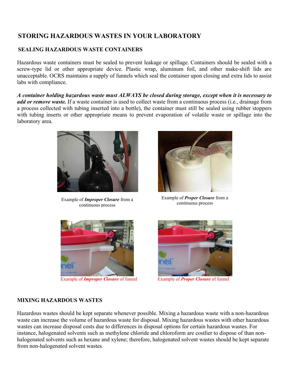## **STORING HAZARDOUS WASTES IN YOUR LABORATORY**

#### **SEALING HAZARDOUS WASTE CONTAINERS**

Hazardous waste containers must be sealed to prevent leakage or spillage. Containers should be sealed with a screw-type lid or other appropriate device. Plastic wrap, aluminum foil, and other make-shift lids are unacceptable. OCRS maintains a supply of funnels which seal the container upon closing and extra lids to assist labs with compliance.

*A container holding hazardous waste must ALWAYS be closed during storage, except when it is necessary to add or remove waste.* If a waste container is used to collect waste from a continuous process (i.e., drainage from a process collected with tubing inserted into a bottle), the container must still be sealed using rubber stoppers with tubing inserts or other appropriate means to prevent evaporation of volatile waste or spillage into the laboratory area.



Example of *Improper Closure* from a continuous process continuous process



Example of *Proper Closure* from a continuous process





**Example of** *Improper Closure* of funnel Example of *Proper Closure* of funnel

#### **MIXING HAZARDOUS WASTES**

Hazardous wastes should be kept separate whenever possible. Mixing a hazardous waste with a non-hazardous waste can increase the volume of hazardous waste for disposal. Mixing hazardous wastes with other hazardous wastes can increase disposal costs due to differences in disposal options for certain hazardous wastes. For instance, halogenated solvents such as methylene chloride and chloroform are costlier to dispose of than nonhalogenated solvents such as hexane and xylene; therefore, halogenated solvent wastes should be kept separate from non-halogenated solvent wastes.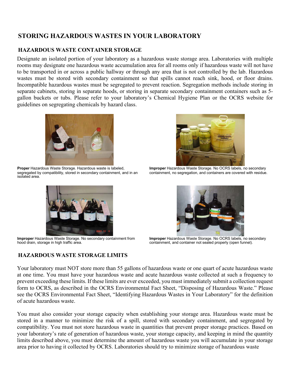## **STORING HAZARDOUS WASTES IN YOUR LABORATORY**

#### **HAZARDOUS WASTE CONTAINER STORAGE**

Designate an isolated portion of your laboratory as a hazardous waste storage area. Laboratories with multiple rooms may designate one hazardous waste accumulation area for all rooms only if hazardous waste will not have to be transported in or across a public hallway or through any area that is not controlled by the lab. Hazardous wastes must be stored with secondary containment so that spills cannot reach sink, hood, or floor drains. Incompatible hazardous wastes must be segregated to prevent reaction. Segregation methods include storing in separate cabinets, storing in separate hoods, or storing in separate secondary containment containers such as 5gallon buckets or tubs. Please refer to your laboratory's Chemical Hygiene Plan or the OCRS website for guidelines on segregating chemicals by hazard class.



**Proper** Hazardous Waste Storage. Hazardous waste is labeled, segregated by compatibility, stored in secondary containment, and in an isolated area.



**Improper** Hazardous Waste Storage. No secondary containment from hood drain, storage in high traffic area.

## **HAZARDOUS WASTE STORAGE LIMITS**



**Improper** Hazardous Waste Storage. No OCRS labels, no secondary containment, no segregation, and containers are covered with residue.



**Improper** Hazardous Waste Storage. No OCRS labels, no secondary containment, and container not sealed properly (open funnel).

Your laboratory must NOT store more than 55 gallons of hazardous waste or one quart of acute hazardous waste at one time. You must have your hazardous waste and acute hazardous waste collected at such a frequency to prevent exceeding these limits. If these limits are ever exceeded, you must immediately submit a collection request form to OCRS, as described in the OCRS Environmental Fact Sheet, "Disposing of Hazardous Waste." Please see the OCRS Environmental Fact Sheet, "Identifying Hazardous Wastes in Your Laboratory" for the definition of acute hazardous waste.

You must also consider your storage capacity when establishing your storage area. Hazardous waste must be stored in a manner to minimize the risk of a spill, stored with secondary containment, and segregated by compatibility. You must not store hazardous waste in quantities that prevent proper storage practices. Based on your laboratory's rate of generation of hazardous waste, your storage capacity, and keeping in mind the quantity limits described above, you must determine the amount of hazardous waste you will accumulate in your storage area prior to having it collected by OCRS. Laboratories should try to minimize storage of hazardous waste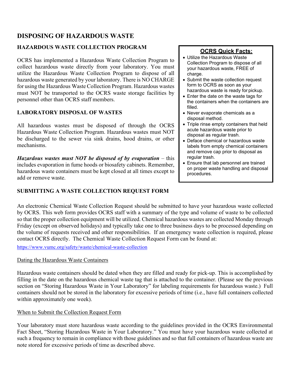## **DISPOSING OF HAZARDOUS WASTE**

## **HAZARDOUS WASTE COLLECTION PROGRAM**

OCRS has implemented a Hazardous Waste Collection Program to collect hazardous waste directly from your laboratory. You must utilize the Hazardous Waste Collection Program to dispose of all hazardous waste generated by your laboratory. There is NO CHARGE for using the Hazardous Waste Collection Program. Hazardous wastes must NOT be transported to the OCRS waste storage facilities by personnel other than OCRS staff members.

## **LABORATORY DISPOSAL OF WASTES**

All hazardous wastes must be disposed of through the OCRS Hazardous Waste Collection Program. Hazardous wastes must NOT be discharged to the sewer via sink drains, hood drains, or other mechanisms.

*Hazardous wastes must NOT be disposed of by evaporation – this* includes evaporation in fume hoods or biosafety cabinets. Remember, hazardous waste containers must be kept closed at all times except to add or remove waste.

### **SUBMITTING A WASTE COLLECTION REQUEST FORM**

## **OCRS Quick Facts:**

- Utilize the Hazardous Waste Collection Program to dispose of all your hazardous waste, FREE of charge.
- Submit the waste collection request form to OCRS as soon as your hazardous waste is ready for pickup.
- Enter the date on the waste tags for the containers when the containers are filled.
- Never evaporate chemicals as a disposal method.
- Triple rinse empty containers that held acute hazardous waste prior to disposal as regular trash.
- Deface chemical or hazardous waste labels from empty chemical containers and remove cap prior to disposal as regular trash.
- Ensure that lab personnel are trained on proper waste handling and disposal procedures.

An electronic Chemical Waste Collection Request should be submitted to have your hazardous waste collected by OCRS. This web form provides OCRS staff with a summary of the type and volume of waste to be collected so that the proper collection equipment will be utilized. Chemical hazardous wastes are collected Monday through Friday (except on observed holidays) and typically take one to three business days to be processed depending on the volume of requests received and other responsibilities. If an emergency waste collection is required, please contact OCRS directly. The Chemical Waste Collection Request Form can be found at:

<https://www.vumc.org/safety/waste/chemical-waste-collection>

### Dating the Hazardous Waste Containers

Hazardous waste containers should be dated when they are filled and ready for pick-up. This is accomplished by filling in the date on the hazardous chemical waste tag that is attached to the container. (Please see the previous section on "Storing Hazardous Waste in Your Laboratory" for labeling requirements for hazardous waste.) Full containers should not be stored in the laboratory for excessive periods of time (i.e., have full containers collected within approximately one week).

## When to Submit the Collection Request Form

Your laboratory must store hazardous waste according to the guidelines provided in the OCRS Environmental Fact Sheet, "Storing Hazardous Waste in Your Laboratory." You must have your hazardous waste collected at such a frequency to remain in compliance with those guidelines and so that full containers of hazardous waste are note stored for excessive periods of time as described above.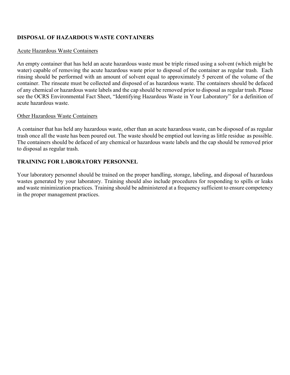#### **DISPOSAL OF HAZARDOUS WASTE CONTAINERS**

#### Acute Hazardous Waste Containers

An empty container that has held an acute hazardous waste must be triple rinsed using a solvent (which might be water) capable of removing the acute hazardous waste prior to disposal of the container as regular trash. Each rinsing should be performed with an amount of solvent equal to approximately 5 percent of the volume of the container. The rinseate must be collected and disposed of as hazardous waste. The containers should be defaced of any chemical or hazardous waste labels and the cap should be removed prior to disposal as regular trash. Please see the OCRS Environmental Fact Sheet, "Identifying Hazardous Waste in Your Laboratory" for a definition of acute hazardous waste.

#### Other Hazardous Waste Containers

A container that has held any hazardous waste, other than an acute hazardous waste, can be disposed of as regular trash once all the waste has been poured out. The waste should be emptied out leaving as little residue as possible. The containers should be defaced of any chemical or hazardous waste labels and the cap should be removed prior to disposal as regular trash.

#### **TRAINING FOR LABORATORY PERSONNEL**

Your laboratory personnel should be trained on the proper handling, storage, labeling, and disposal of hazardous wastes generated by your laboratory. Training should also include procedures for responding to spills or leaks and waste minimization practices. Training should be administered at a frequency sufficient to ensure competency in the proper management practices.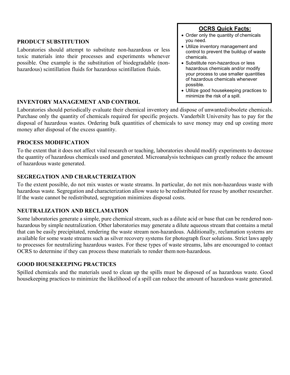#### **PRODUCT SUBSTITUTION**

Laboratories should attempt to substitute non-hazardous or less toxic materials into their processes and experiments whenever possible. One example is the substitution of biodegradable (nonhazardous) scintillation fluids for hazardous scintillation fluids.

#### **INVENTORY MANAGEMENT AND CONTROL**

Laboratories should periodically evaluate their chemical inventory and dispose of unwanted/obsolete chemicals. Purchase only the quantity of chemicals required for specific projects. Vanderbilt University has to pay for the disposal of hazardous wastes. Ordering bulk quantities of chemicals to save money may end up costing more money after disposal of the excess quantity.

#### **PROCESS MODIFICATION**

To the extent that it does not affect vital research or teaching, laboratories should modify experiments to decrease the quantity of hazardous chemicals used and generated. Microanalysis techniques can greatly reduce the amount of hazardous waste generated.

#### **SEGREGATION AND CHARACTERIZATION**

To the extent possible, do not mix wastes or waste streams. In particular, do not mix non-hazardous waste with hazardous waste. Segregation and characterization allow waste to be redistributed for reuse by another researcher. If the waste cannot be redistributed, segregation minimizes disposal costs.

#### **NEUTRALIZATION AND RECLAMATION**

Some laboratories generate a simple, pure chemical stream, such as a dilute acid or base that can be rendered nonhazardous by simple neutralization. Other laboratories may generate a dilute aqueous stream that contains a metal that can be easily precipitated, rendering the waste stream non-hazardous. Additionally, reclamation systems are available for some waste streams such as silver recovery systems for photograph fixer solutions. Strict laws apply to processes for neutralizing hazardous wastes. For these types of waste streams, labs are encouraged to contact OCRS to determine if they can process these materials to render them non-hazardous.

#### **GOOD HOUSEKEEPING PRACTICES**

Spilled chemicals and the materials used to clean up the spills must be disposed of as hazardous waste. Good housekeeping practices to minimize the likelihood of a spill can reduce the amount of hazardous waste generated.

### **OCRS Quick Facts:**

- Order only the quantity of chemicals you need.
- Utilize inventory management and control to prevent the buildup of waste chemicals.
- Substitute non-hazardous or less hazardous chemicals and/or modify your process to use smaller quantities of hazardous chemicals whenever possible.
- Utilize good housekeeping practices to minimize the risk of a spill.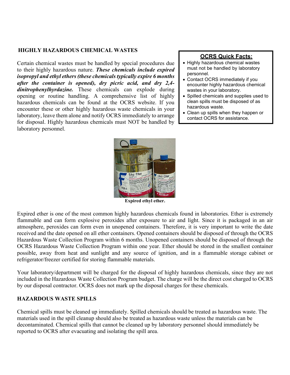#### **HIGHLY HAZARDOUS CHEMICAL WASTES**

Certain chemical wastes must be handled by special procedures due to their highly hazardous nature. *These chemicals include expired isopropyl and ethyl ethers (these chemicals typically expire 6 months after the container is opened), dry picric acid, and dry 2,4 dinitrophenylhyrdazine.* These chemicals can explode during opening or routine handling. A comprehensive list of highly hazardous chemicals can be found at the OCRS website. If you encounter these or other highly hazardous waste chemicals in your laboratory, leave them alone and notify OCRS immediately to arrange for disposal. Highly hazardous chemicals must NOT be handled by laboratory personnel.

#### **OCRS Quick Facts:**

- Highly hazardous chemical wastes must not be handled by laboratory personnel.
- Contact OCRS immediately if you encounter highly hazardous chemical wastes in your laboratory.
- Spilled chemicals and supplies used to clean spills must be disposed of as hazardous waste.
- Clean up spills when they happen or contact OCRS for assistance.



**Expired ethyl ether.**

Expired ether is one of the most common highly hazardous chemicals found in laboratories. Ether is extremely flammable and can form explosive peroxides after exposure to air and light. Since it is packaged in an air atmosphere, peroxides can form even in unopened containers. Therefore, it is very important to write the date received and the date opened on all ether containers. Opened containers should be disposed of through the OCRS Hazardous Waste Collection Program within 6 months. Unopened containers should be disposed of through the OCRS Hazardous Waste Collection Program within one year. Ether should be stored in the smallest container possible, away from heat and sunlight and any source of ignition, and in a flammable storage cabinet or refrigerator/freezer certified for storing flammable materials.

Your laboratory/department will be charged for the disposal of highly hazardous chemicals, since they are not included in the Hazardous Waste Collection Program budget. The charge will be the direct cost charged to OCRS by our disposal contractor. OCRS does not mark up the disposal charges for these chemicals.

#### **HAZARDOUS WASTE SPILLS**

Chemical spills must be cleaned up immediately. Spilled chemicals should be treated as hazardous waste. The materials used in the spill cleanup should also be treated as hazardous waste unless the materials can be decontaminated. Chemical spills that cannot be cleaned up by laboratory personnel should immediately be reported to OCRS after evacuating and isolating the spill area.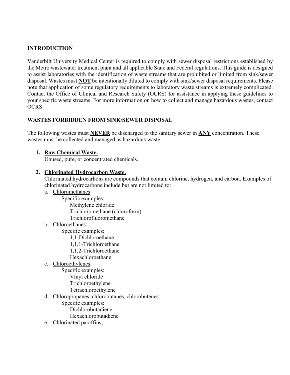#### **INTRODUCTION**

Vanderbilt University Medical Center is required to comply with sewer disposal restrictions established by the Metro wastewater treatment plant and all applicable State and Federal regulations. This guide is designed to assist laboratories with the identification of waste streams that are prohibited or limited from sink/sewer disposal. Wastes must **NOT** be intentionally diluted to comply with sink/sewer disposal requirements. Please note that application of some regulatory requirements to laboratory waste streams is extremely complicated. Contact the Office of Clinical and Research Safety (OCRS) for assistance in applying these guidelines to your specific waste streams. For more information on how to collect and manage hazardous wastes, contact OCRS.

#### **WASTES FORBIDDEN FROM SINK/SEWER DISPOSAL**

The following wastes must **NEVER** be discharged to the sanitary sewer in **ANY** concentration. These wastes must be collected and managed as hazardous waste.

#### **1. Raw Chemical Waste.**

Unused, pure, or concentrated chemicals.

#### **2. Chlorinated Hydrocarbon Waste.**

Chlorinated hydrocarbons are compounds that contain chlorine, hydrogen, and carbon. Examples of chlorinated hydrocarbons include but are not limited to:

a. Chloromethanes:

Specific examples: Methylene chloride Trichloromethane (chloroform)

Trichlorofluoromethane

b. Chloroethanes:

Specific examples:

- 1,1-Dichloroethane
- 1,1,1-Trichloroethane
- 1,1,2-Trichloroethane
- Hexachloroethane
- c. Chloroethylenes:

Specific examples:

- Vinyl chloride
- Trichloroethylene
- Tetrachloroethylene
- d. Chloropropanes, chlorobutanes, chlorobutenes:
	- Specific examples: Dichlorobutadiene Hexachlorobutadiene
- e. Chlorinated paraffins;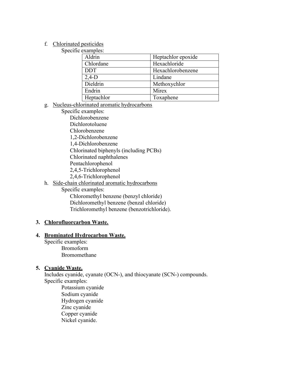#### f. Chlorinated pesticides

Specific examples:

| Heptachlor epoxide |
|--------------------|
| Hexachloride       |
| Hexachlorobenzene  |
| Lindane            |
| Methoxychlor       |
| Mirex              |
| Toxaphene          |
|                    |

#### g. Nucleus-chlorinated aromatic hydrocarbons

- Specific examples: Dichlorobenzene Dichlorotoluene Chlorobenzene
	- 1,2-Dichlorobenzene
	- 1,4-Dichlorobenzene
	- Chlorinated biphenyls (including PCBs)
	- Chlorinated naphthalenes
	- Pentachlorophenol
	- 2,4,5-Trichlorophenol
	- 2,4,6-Trichlorophenol

#### h. Side-chain chlorinated aromatic hydrocarbons

Specific examples:

Chloromethyl benzene (benzyl chloride) Dichloromethyl benzene (benzal chloride) Trichloromethyl benzene (benzotrichloride).

#### **3. Chlorofluorcarbon Waste.**

#### **4. Brominated Hydrocarbon Waste.**

Specific examples: Bromoform Bromomethane

#### **5. Cyanide Waste.**

Includes cyanide, cyanate (OCN-), and thiocyanate (SCN-) compounds. Specific examples:

Potassium cyanide Sodium cyanide Hydrogen cyanide Zinc cyanide Copper cyanide Nickel cyanide.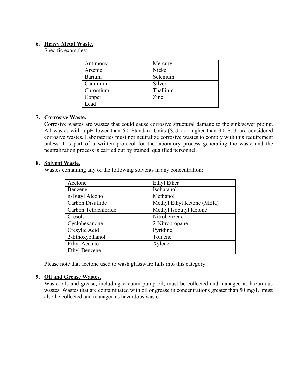#### **6. Heavy Metal Waste.**

Specific examples:

| Antimony | Mercury  |
|----------|----------|
| Arsenic  | Nickel   |
| Barium   | Selenium |
| Cadmium  | Silver   |
| Chromium | Thallium |
| Copper   | Zinc     |
| Lead     |          |

#### **7. Corrosive Waste.**

Corrosive wastes are wastes that could cause corrosive structural damage to the sink/sewer piping. All wastes with a pH lower than 6.0 Standard Units (S.U.) or higher than 9.0 S.U. are considered corrosive wastes. Laboratories must not neutralize corrosive wastes to comply with this requirement unless it is part of a written protocol for the laboratory process generating the waste and the neutralization process is carried out by trained, qualified personnel.

#### **8. Solvent Waste.**

Wastes containing any of the following solvents in any concentration:

| Acetone              | <b>Ethyl Ether</b>        |
|----------------------|---------------------------|
| Benzene              | Isobutanol                |
| n-Butyl Alcohol      | Methanol                  |
| Carbon Disulfide     | Methyl Ethyl Ketone (MEK) |
| Carbon Tetrachloride | Methyl Isobutyl Ketone    |
| Cresols              | Nitrobenzene              |
| Cyclohexanone        | 2-Nitropropane            |
| Cresylic Acid        | Pyridine                  |
| 2-Ethoxyethanol      | Toluene                   |
| <b>Ethyl Acetate</b> | Xylene                    |
| <b>Ethyl Benzene</b> |                           |

Please note that acetone used to wash glassware falls into this category.

#### **9. Oil and Grease Wastes.**

Waste oils and grease, including vacuum pump oil, must be collected and managed as hazardous wastes. Wastes that are contaminated with oil or grease in concentrations greater than 50 mg/L must also be collected and managed as hazardous waste.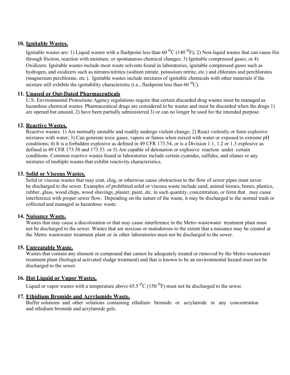#### **10. Ignitable Wastes.**

Ignitable wastes are: 1) Liquid wastes with a flashpoint less than  $60^{\circ}C(140^{\circ}F)$ ; 2) Non-liquid wastes that can cause fire through friction, reaction with moisture, or spontaneous chemical changes; 3) Ignitable compressed gases; or 4) Oxidizers. Ignitable wastes include most waste solvents found in laboratories, ignitable compressed gases such as hydrogen, and oxidizers such as nitrates/nitrites (sodium nitrate, potassium nitrite, etc.) and chlorates and perchlorates (magnesium perchlorate, etc.). Ignitable wastes include mixtures of ignitable chemicals with other materials if the mixture still exhibits the ignitability characteristic (i.e., flashpoint less than 60  $^{0}$ C).

#### **11. Unused or Out-Dated Pharmaceuticals**

U.S. Environmental Protections Agency regulations require that certain discarded drug wastes must be managed as hazardous chemical wastes. Pharmaceutical drugs are considered to be wastes and must be discarded when the drugs:1) are opened but unused, 2) have been partially administered 3) or can no longer be used for the intended purpose.

#### **12. Reactive Wastes.**

Reactive wastes: 1) Are normally unstable and readily undergo violent change; 2) React violently or form explosive mixtures with water; 3) Can generate toxic gases, vapors or fumes when mixed with water or exposed to extreme pH conditions; 4) It is a forbidden explosive as defined in 49 CFR 173.54, or is a Division 1.1, 1.2 or 1.3 explosive as defined in 49 CFR 173.50 and 173.53. or 5) Are capable of detonation or explosive reaction under certain conditions. Common reactive wastes found in laboratories include certain cyanides, sulfides, and silanes or any mixtures of multiple wastes that exhibit reactivity characteristics.

#### **13. Solid or Viscous Wastes.**

Solid or viscous wastes that may coat, clog, or otherwise cause obstruction to the flow of sewer pipes must never be discharged to the sewer. Examples of prohibited solid or viscous waste include sand, animal tissues, bones, plastics, rubber, glass, wood chips, wood shavings, plaster, paint, etc. in such quantity, concentration, or form that may cause interference with proper sewer flow. Depending on the nature of the waste, it may be discharged to the normal trash or collected and managed as hazardous waste.

#### **14. Nuisance Waste.**

Wastes that may cause a discoloration or that may cause interference in the Metro wastewater treatment plant must not be discharged to the sewer. Wastes that are noxious or malodorous to the extent that a nuisance may be created at the Metro wastewater treatment plant or in other laboratories must not be discharged to the sewer.

#### **15. Untreatable Waste.**

Wastes that contain any element or compound that cannot be adequately treated or removed by the Metro wastewater treatment plant (biological activated sludge treatment) and that is known to be an environmental hazard must not be discharged to the sewer.

#### **16. Hot Liquid or Vapor Wastes.**

Liquid or vapor wastes with a temperature above 65.5  $^{\circ}$ C (150  $^{\circ}$ F) must not be discharged to the sewer.

#### **17. Ethidium Bromide and Acrylamide Waste.**

Buffer solutions and other solutions containing ethidium bromide or acrylamide in any concentration and ethidium bromide and acrylamide gels.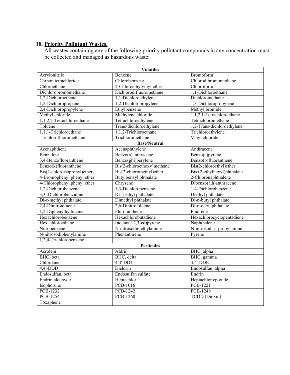#### **18. Priority Pollutant Wastes.**

All wastes containing any of the following priority pollutant compounds in any concentration must be collected and managed as hazardous waste:

| <b>Volatiles</b>            |                            |                             |  |  |
|-----------------------------|----------------------------|-----------------------------|--|--|
| Acrylonitrile               | Benzene                    | Bromoform                   |  |  |
| Carbon tetrachloride        | Chlorobenzene              | Chlorodibromomethane        |  |  |
| Chloroethane                | 2-Chloroethylvinyl ether   | Chloroform                  |  |  |
| Dichlorobromomethane        | Dichlorodifluoromethane    | 1,1-Dichloroethane          |  |  |
| 1,2-Dichloroethane          | 1,1-Dichloroethylene       | Dichloromethane             |  |  |
| 1,2-Dichloropropane         | 1,2-Dichloropropylene      | 1,3-Dichloropropylene       |  |  |
| 2,4-Dichloropropylene       | Ethylbenzene               | Methyl bromide              |  |  |
| Methyl chloride             | Methylene chloride         | 1,1,2,1-Tetrachloroethane   |  |  |
| 1,1,2,2-Tetrachloroethane   | Tetrachloroethylene        | Tetrachloromethane          |  |  |
| Toluene                     | Trans-dichloroethylene     | 1,2-Trans-dichloroethylene  |  |  |
| 1,1,1-Trichloroethane       | 1,1,2-Trichloroethane      | Trichloroethylene           |  |  |
| Trichlorofluoromethane      | Trichloromethane           | Vinyl chloride              |  |  |
|                             | <b>Base/Neutral</b>        |                             |  |  |
| Acenaphthene                | Acenaphthylene             | Anthracene                  |  |  |
| Benzidine                   | Benzo(a)anthracene         | Benzo(a)pyrene              |  |  |
| 3,4-Benzofluoranthene       | Benzo(ghi)perylene         | Benzo(b)fluoranthene        |  |  |
| Benzo(k)fluoranthene        | Bis(2-chloroethoxy)methane | Bis(2-chloroethyl)ether     |  |  |
| Bis(2-chloroisopropyl)ether | Bis(2-chloromethyl)ether   | Bis (2-ethylhexyl)phthalate |  |  |
| 4-Bromophenyl phenyl ether  | Butylbenzyl phthalate      | 2-Chloronaphthalene         |  |  |
| 4-Chlorophenyl phenyl ether | Chrysene                   | Dibenzo(a,h)anthracene      |  |  |
| 1,2-Dichlorobenzene         | 1,3-Dichlorobenzene        | 1,4-Dichlorobenzene         |  |  |
| 3,3'-Dichlorobenzidine      | Di-n-ethyl phthalate       | Diethyl phthalate           |  |  |
| Di-c-methyl phthalate       | Dimethyl phthalate         | Di-n-butyl phthalate        |  |  |
| 2,4-Dinitrotoluene          | 2,6-Dinitrotoluene         | Di-n-octyl phthalate        |  |  |
| 1,2-Diphenylhydrazine       | Fluroranthene              | Fluorene                    |  |  |
| Hexachlorobenzene           | Hexachlorobutadiene        | Hexachlorocyclopentadiene   |  |  |
| Hexachloroethane            | Indeno $(1,2,3$ -cd)pyrene | Naphthalene                 |  |  |
| Nitrobenzene                | N-nitrosodimethylamine     | N-nitrosodi-n-propylamine   |  |  |
| N-nitrosodiphenylamine      | Phenanthrene               | Pyrene                      |  |  |
| 1,2,4-Trichlorobenzene      |                            |                             |  |  |
| <b>Pesticides</b>           |                            |                             |  |  |
| Acrolein                    | Aldrin                     | BHC, alpha                  |  |  |
| BHC, beta                   | BHC, delta                 | BHC, gamma                  |  |  |
| Chlordane                   | $4,4$ -DDT                 | $4,4'$ -DDE                 |  |  |
| $4,4'-DDD$                  | Dieldrin                   | Endosulfan, alpha           |  |  |
| Endosulfan, beta            | Endosulfan sulfate         | Endrin                      |  |  |
| Endrin aldehyde             | Heptachlor                 | Heptachlor epoxide          |  |  |
| Isophorone                  | <b>PCB-1016</b>            | <b>PCB-1221</b>             |  |  |
| <b>PCB-1232</b>             | <b>PCB-1242</b>            | <b>PCB-1248</b>             |  |  |
| <b>PCB-1254</b>             | <b>PCB-1260</b>            | <b>TCDD</b> (Dioxin)        |  |  |
| Toxaphene                   |                            |                             |  |  |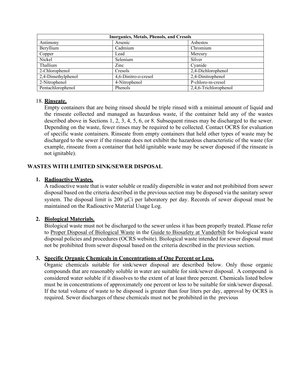| <b>Inorganics, Metals, Phenols, and Cresols</b> |                              |                       |  |
|-------------------------------------------------|------------------------------|-----------------------|--|
| Antimony                                        | Arsenic                      | Asbestos              |  |
| Beryllium                                       | Cadmium                      | Chromium              |  |
| Copper                                          | Lead                         | Mercury               |  |
| Nickel                                          | Selenium                     | Silver                |  |
| Thallium                                        | $\mathop{\rm Zinc}\nolimits$ | Cyanide               |  |
| 2-Chlorophenol                                  | Cresols                      | 2,4-Dichlorophenol    |  |
| 2,4-Dimethylphenol                              | 4,6-Dinitro-o-cresol         | 2,4-Dinitrophenol     |  |
| 2-Nitrophenol                                   | 4-Nitrophenol                | P-chloro-m-cresol     |  |
| Pentachlorophenol                               | Phenols                      | 2,4,6-Trichlorophenol |  |

#### 18. **Rinseate.**

Empty containers that are being rinsed should be triple rinsed with a minimal amount of liquid and the rinseate collected and managed as hazardous waste, if the container held any of the wastes described above in Sections 1, 2, 3, 4, 5, 6, or 8. Subsequent rinses may be discharged to the sewer. Depending on the waste, fewer rinses may be required to be collected. Contact OCRS for evaluation of specific waste containers. Rinseate from empty containers that held other types of waste may be discharged to the sewer if the rinseate does not exhibit the hazardous characteristic of the waste (for example, rinseate from a container that held ignitable waste may be sewer disposed if the rinseate is not ignitable).

#### **WASTES WITH LIMITED SINK/SEWER DISPOSAL**

#### **1. Radioactive Wastes.**

A radioactive waste that is water soluble or readily dispersible in water and not prohibited from sewer disposal based on the criteria described in the previous section may be disposed via the sanitary sewer system. The disposal limit is 200 µCi per laboratory per day. Records of sewer disposal must be maintained on the Radioactive Material Usage Log.

#### **2. Biological Materials.**

Biological waste must not be discharged to the sewer unless it has been properly treated. Please refer to Proper Disposal of Biological Waste in the Guide to Biosafety at Vanderbilt for biological waste disposal policies and procedures (OCRS website). Biological waste intended for sewer disposal must not be prohibited from sewer disposal based on the criteria described in the previous section.

#### **3. Specific Organic Chemicals in Concentrations of One Percent or Less.**

Organic chemicals suitable for sink/sewer disposal are described below. Only those organic compounds that are reasonably soluble in water are suitable for sink/sewer disposal. A compound is considered water soluble if it dissolves to the extent of at least three percent. Chemicals listed below must be in concentrations of approximately one percent or less to be suitable for sink/sewer disposal. If the total volume of waste to be disposed is greater than four liters per day, approval by OCRS is required. Sewer discharges of these chemicals must not be prohibited in the previous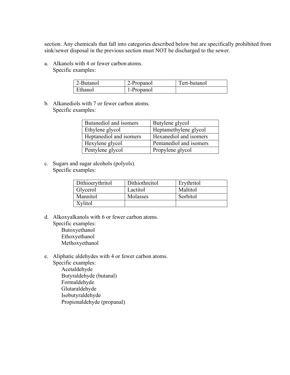section. Any chemicals that fall into categories described below but are specifically prohibited from sink/sewer disposal in the previous section must NOT be discharged to the sewer.

a. Alkanols with 4 or fewer carbon atoms. Specific examples:

| 2-Butanol | 2-Propanol | Tert-butanol |
|-----------|------------|--------------|
| Ethanol   | 1-Propanol |              |

b. Alkanediols with 7 or fewer carbon atoms. Specific examples:

| Butanediol and isomers  | Butylene glycol         |
|-------------------------|-------------------------|
| Ethylene glycol         | Heptamethylene glycol   |
| Heptanediol and isomers | Hexanediol and isomers  |
| Hexylene glycol         | Pentanediol and isomers |
| Pentylene glycol        | Propylene glycol        |

c. Sugars and sugar alcohols (polyols). Specific examples:

| Dithioerythritol | Dithiothreitol | Erythritol |
|------------------|----------------|------------|
| Glycerol         | Lactitol       | Maltitol   |
| Mannitol         | Molasses       | Sorbitol   |
| Xvlitol          |                |            |

- d. Alkoxyalkanols with 6 or fewer carbon atoms. Specific examples:
	- Butoxyethanol Ethoxyethanol Methoxyethanol
- e. Aliphatic aldehydes with 4 or fewer carbon atoms. Specific examples: Acetaldehyde Butyraldehyde (butanal) Formaldehyde Glutaraldehyde Isobutyraldehyde
	- Propionaldehyde (propanal)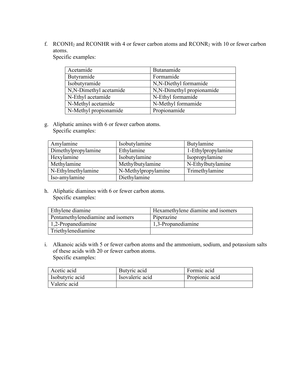f. RCONH2 and RCONHR with 4 or fewer carbon atoms and RCONR2 with 10 or fewer carbon atoms.

Specific examples:

| Acetamide              | Butanamide                |
|------------------------|---------------------------|
| Butyramide             | Formamide                 |
| Isobutyramide          | N,N-Diethyl formamide     |
| N,N-Dimethyl acetamide | N,N-Dimethyl propionamide |
| N-Ethyl acetamide      | N-Ethyl formamide         |
| N-Methyl acetamide     | N-Methyl formamide        |
| N-Methyl propionamide  | Propionamide              |

g. Aliphatic amines with 6 or fewer carbon atoms. Specific examples:

| Amylamine           | Isobutylamine       | Butylamine         |
|---------------------|---------------------|--------------------|
| Dimethylpropylamine | Ethylamine          | 1-Ethylpropylamine |
| Hexylamine          | Isobutylamine       | Isopropylamine     |
| Methylamine         | Methylbutylamine    | N-Ethylbutylamine  |
| N-Ethylmethylamine  | N-Methylpropylamine | Trimethylamine     |
| Iso-amylamine       | Diethylamine        |                    |

h. Aliphatic diamines with 6 or fewer carbon atoms. Specific examples:

| Ethylene diamine                  | Hexamethylene diamine and isomers |
|-----------------------------------|-----------------------------------|
| Pentamethylenediamine and isomers | Piperazine                        |
| 1.2-Propanediamine                | 1,3-Propanediamine                |
| Triethylenediamine                |                                   |

i. Alkanoic acids with 5 or fewer carbon atoms and the ammonium, sodium, and potassium salts of these acids with 20 or fewer carbon atoms. Specific examples:

| Acetic acid     | Butyric acid    | Formic acid    |
|-----------------|-----------------|----------------|
| Isobutyric acid | Isovaleric acid | Propionic acid |
| Valeric acid    |                 |                |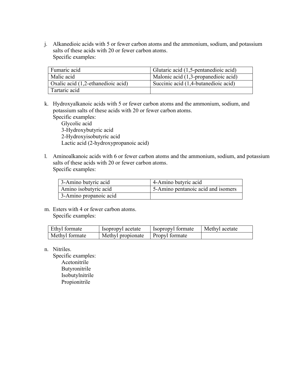j. Alkanedioic acids with 5 or fewer carbon atoms and the ammonium, sodium, and potassium salts of these acids with 20 or fewer carbon atoms. Specific examples:

| Fumaric acid                       | Glutaric acid (1,5-pentanedioic acid) |
|------------------------------------|---------------------------------------|
| Malic acid                         | Malonic acid (1,3-propanedioic acid)  |
| Oxalic acid (1,2-ethanedioic acid) | Succinic acid (1,4-butanedioic acid)  |
| Tartaric acid                      |                                       |

k. Hydroxyalkanoic acids with 5 or fewer carbon atoms and the ammonium, sodium, and potassium salts of these acids with 20 or fewer carbon atoms.

Specific examples: Glycolic acid 3-Hydroxybutyric acid 2-Hydroxyisobutyric acid Lactic acid (2-hydroxypropanoic acid)

l. Aminoalkanoic acids with 6 or fewer carbon atoms and the ammonium, sodium, and potassium salts of these acids with 20 or fewer carbon atoms. Specific examples:

| 3-Amino butyric acid   | 4-Amino butyric acid               |
|------------------------|------------------------------------|
| Amino isobutyric acid  | 5-Amino pentanoic acid and isomers |
| 3-Amino propanoic acid |                                    |

m. Esters with 4 or fewer carbon atoms. Specific examples:

| Ethyl formate  | Isopropyl acetate                  | Isopropyl formate | Methyl acetate |
|----------------|------------------------------------|-------------------|----------------|
| Methyl formate | Methyl propionate   Propyl formate |                   |                |

n. Nitriles.

Specific examples: Acetonitrile Butyronitrile Isobutylnitrile Propionitrile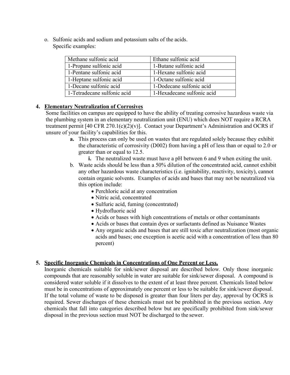o. Sulfonic acids and sodium and potassium salts of the acids. Specific examples:

| Methane sulfonic acid       | Ethane sulfonic acid       |
|-----------------------------|----------------------------|
| 1-Propane sulfonic acid     | 1-Butane sulfonic acid     |
| 1-Pentane sulfonic acid     | 1-Hexane sulfonic acid     |
| 1-Heptane sulfonic acid     | 1-Octane sulfonic acid     |
| 1-Decane sulfonic acid      | 1-Dodecane sulfonic acid   |
| 1-Tetradecane sulfonic acid | 1-Hexadecane sulfonic acid |

#### **4. Elementary Neutralization of Corrosives**

Some facilities on campus are equipped to have the ability of treating corrosive hazardous waste via the plumbing system in an elementary neutralization unit (ENU) which does NOT require a RCRA treatment permit [40 CFR  $270.1(c)(2)(v)$ ]. Contact your Department's Administration and OCRS if unsure of your facility's capabilities for this.

- **a.** This process can only be used on wastes that are regulated solely because they exhibit the characteristic of corrosivity (D002) from having a pH of less than or equal to 2.0 or greater than or equal to 12.5.
	- **i.** The neutralized waste must have a pH between 6 and 9 when exiting the unit.
- b. Waste acids should be less than a 50% dilution of the concentrated acid, cannot exhibit any other hazardous waste characteristics (i.e. ignitability, reactivity, toxicity), cannot contain organic solvents. Examples of acids and bases that may not be neutralized via this option include:
	- Perchloric acid at any concentration
	- Nitric acid, concentrated
	- Sulfuric acid, fuming (concentrated)
	- Hydrofluoric acid
	- Acids or bases with high concentrations of metals or other contaminants
	- Acids or bases that contain dyes or surfactants defined as Nuisance Wastes
	- Any organic acids and bases that are still toxic after neutralization (most organic acids and bases; one exception is acetic acid with a concentration of less than 80 percent)

#### **5. Specific Inorganic Chemicals in Concentrations of One Percent or Less.**

Inorganic chemicals suitable for sink/sewer disposal are described below. Only those inorganic compounds that are reasonably soluble in water are suitable for sink/sewer disposal. A compound is considered water soluble if it dissolves to the extent of at least three percent. Chemicals listed below must be in concentrations of approximately one percent or less to be suitable for sink/sewer disposal. If the total volume of waste to be disposed is greater than four liters per day, approval by OCRS is required. Sewer discharges of these chemicals must not be prohibited in the previous section. Any chemicals that fall into categories described below but are specifically prohibited from sink/sewer disposal in the previous section must NOT be discharged to the sewer.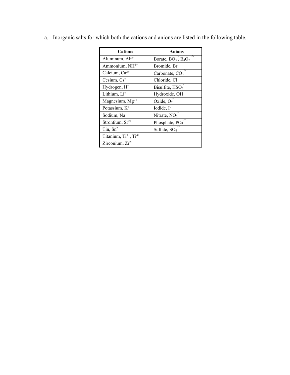| <b>Cations</b>             | Anions                                      |
|----------------------------|---------------------------------------------|
| Aluminum, $Al^{3+}$        | 7-<br>Borate, $BO3$ , $B4O7$                |
| Ammonium, NH <sup>4+</sup> | Bromide, Br                                 |
| Calcium, $Ca^{2+}$         | Carbonate, CO <sub>3</sub>                  |
| Cesium, $Cs+$              | Chloride, Cl-                               |
| Hydrogen, H <sup>+</sup>   | Bisulfite, $HSO3$                           |
| Lithium, Li <sup>+</sup>   | Hydroxide, OH <sup>-</sup>                  |
| Magnesium, $Mg^{2+}$       | Oxide, $O2$                                 |
| Potassium, K <sup>+</sup>  | Iodide, I <sup>-</sup>                      |
| Sodium, Na <sup>+</sup>    | Nitrate, NO <sub>3</sub>                    |
| Strontium, $Sr^{2+}$       | $\frac{1}{2}$<br>Phosphate, PO <sub>4</sub> |
| Tin, $Sn^{2+}$             | Sulfate, SO <sub>4</sub>                    |
| Titanium, Ti3+, Ti4+       |                                             |
| Zirconium, $Zr^{2+}$       |                                             |

a. Inorganic salts for which both the cations and anions are listed in the following table.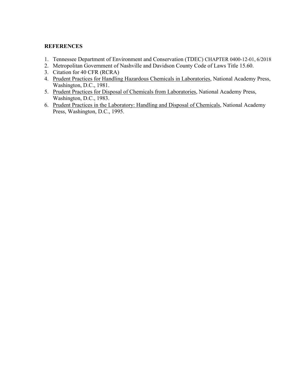#### **REFERENCES**

- 1. Tennessee Department of Environment and Conservation (TDEC) CHAPTER 0400-12-01, 6/2018
- 2. Metropolitan Government of Nashville and Davidson County Code of Laws Title 15.60.
- 3. Citation for 40 CFR (RCRA)
- 4. Prudent Practices for Handling Hazardous Chemicals in Laboratories, National Academy Press, Washington, D.C., 1981.
- 5. Prudent Practices for Disposal of Chemicals from Laboratories, National Academy Press, Washington, D.C., 1983.
- 6. Prudent Practices in the Laboratory: Handling and Disposal of Chemicals, National Academy Press, Washington, D.C., 1995.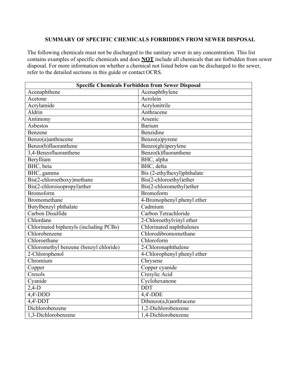#### **SUMMARY OF SPECIFIC CHEMICALS FORBIDDEN FROM SEWER DISPOSAL**

The following chemicals must not be discharged to the sanitary sewer in any concentration. This list contains examples of specific chemicals and does **NOT** include all chemicals that are forbidden from sewer disposal. For more information on whether a chemical not listed below can be discharged to the sewer, refer to the detailed sections in this guide or contact OCRS.

| <b>Specific Chemicals Forbidden from Sewer Disposal</b> |                                             |  |
|---------------------------------------------------------|---------------------------------------------|--|
| Acenaphthene                                            | Acenaphthylene                              |  |
| Acetone                                                 | Acrolein                                    |  |
| Acrylamide                                              | Acrylonitrile                               |  |
| Aldrin                                                  | Anthracene                                  |  |
| Antimony                                                | Arsenic                                     |  |
| Asbestos                                                | <b>Barium</b>                               |  |
| Benzene                                                 | Benzidine                                   |  |
| Benzo(a)anthracene                                      | Benzo(a)pyrene                              |  |
| Benzo(b)fluoranthene                                    | Benzo(ghi)perylene                          |  |
| 3,4-Benzofluoranthene                                   | Benzo(k)fluoranthene                        |  |
| Beryllium                                               | BHC, alpha                                  |  |
| BHC, beta                                               | BHC, delta                                  |  |
| BHC, gamma                                              | Bis (2-ethylhexyl)phthalate                 |  |
| Bis(2-chloroethoxy)methane                              | Bis(2-chloroethyl)ether                     |  |
| Bis(2-chloroisopropyl)ether                             | Bis(2-chloromethyl)ether                    |  |
| Bromoform                                               | Bromoform                                   |  |
| Bromomethane                                            | 4-Bromophenyl phenyl ether                  |  |
| Butylbenzyl phthalate                                   | Cadmium                                     |  |
| Carbon Disulfide                                        | Carbon Tetrachloride                        |  |
| Chlordane                                               | 2-Chloroethylvinyl ether                    |  |
| Chlorinated biphenyls (including PCBs)                  | Chlorinated naphthalenes                    |  |
| Chlorobenzene                                           | Chlorodibromomethane                        |  |
| Chloroethane                                            | Chloroform                                  |  |
| Chloromethyl benzene (benzyl chloride)                  | 2-Chloronaphthalene                         |  |
| 2-Chlorophenol                                          | 4-Chlorophenyl phenyl ether                 |  |
| Chromium                                                | Chrysene                                    |  |
| Copper                                                  | Copper cyanide                              |  |
| Cresols                                                 | Cresylic Acid                               |  |
| Cyanide                                                 | Cyclohexanone                               |  |
| $2,4-D$                                                 | <b>DDT</b>                                  |  |
| $4,4'-DDD$                                              | $\overline{4,4}$ -DDE                       |  |
| $4,4'-DDT$                                              | $\overline{\text{Dibenzo}}(a,h)$ anthracene |  |
| Dichlorobenzene                                         | 1,2-Dichlorobenzene                         |  |
| 1,3-Dichlorobenzene                                     | 1,4-Dichlorobenzene                         |  |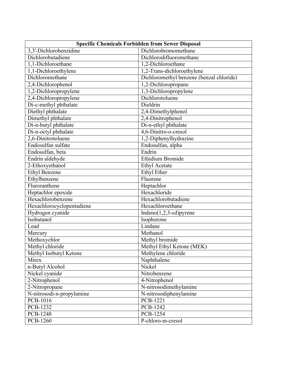| <b>Specific Chemicals Forbidden from Sewer Disposal</b> |                                          |  |
|---------------------------------------------------------|------------------------------------------|--|
| 3,3'-Dichlorobenzidine                                  | Dichlorobromomethane                     |  |
| Dichlorobutadiene                                       | Dichlorodifluoromethane                  |  |
| 1,1-Dichloroethane                                      | 1,2-Dichloroethane                       |  |
| 1,1-Dichloroethylene                                    | 1,2-Trans-dichloroethylene               |  |
| Dichloromethane                                         | Dichloromethyl benzene (benzal chloride) |  |
| 2,4-Dichlorophenol                                      | 1,2-Dichloropropane                      |  |
| 1,2-Dichloropropylene                                   | 1,3-Dichloropropylene                    |  |
| 2,4-Dichloropropylene                                   | Dichlorotoluene                          |  |
| Di-c-methyl phthalate                                   | Dieldrin                                 |  |
| Diethyl phthalate                                       | 2,4-Dimethylphenol                       |  |
| Dimethyl phthalate                                      | 2,4-Dinitrophenol                        |  |
| Di-n-butyl phthalate                                    | Di-n-ethyl phthalate                     |  |
| Di-n-octyl phthalate                                    | 4,6-Dinitro-o-cresol                     |  |
| 2,6-Dinitrotoluene                                      | 1,2-Diphenylhydrazine                    |  |
| Endosulfan sulfate                                      | Endosulfan, alpha                        |  |
| Endosulfan, beta                                        | Endrin                                   |  |
| Endrin aldehyde                                         | <b>Ethidium Bromide</b>                  |  |
| 2-Ethoxyethanol                                         | <b>Ethyl Acetate</b>                     |  |
| <b>Ethyl Benzene</b>                                    | <b>Ethyl Ether</b>                       |  |
| Ethylbenzene                                            | $\overline{Flu}$ orene                   |  |
| Fluroranthene                                           | Heptachlor                               |  |
| Heptachlor epoxide                                      | Hexachloride                             |  |
| Hexachlorobenzene                                       | Hexachlorobutadiene                      |  |
| Hexachlorocyclopentadiene                               | Hexachloroethane                         |  |
| Hydrogen cyanide                                        | $Indeno(1,2,3-cd)pyrene$                 |  |
| Isobutanol                                              | Isophorone                               |  |
| Lead                                                    | Lindane                                  |  |
| Mercury                                                 | Methanol                                 |  |
| Methoxychlor                                            | Methyl bromide                           |  |
| Methyl chloride                                         | Methyl Ethyl Ketone (MEK)                |  |
| Methyl Isobutyl Ketone                                  | Methylene chloride                       |  |
| Mirex                                                   | Naphthalene                              |  |
| n-Butyl Alcohol                                         | Nickel                                   |  |
| Nickel cyanide                                          | Nitrobenzene                             |  |
| 2-Nitrophenol                                           | 4-Nitrophenol                            |  |
| 2-Nitropropane                                          | N-nitrosodimethylamine                   |  |
| N-nitrosodi-n-propylamine                               | N-nitrosodiphenylamine                   |  |
| PCB-1016                                                | <b>PCB-1221</b>                          |  |
| PCB-1232                                                | PCB-1242                                 |  |
| PCB-1248                                                | <b>PCB-1254</b>                          |  |
| <b>PCB-1260</b>                                         | P-chloro-m-cresol                        |  |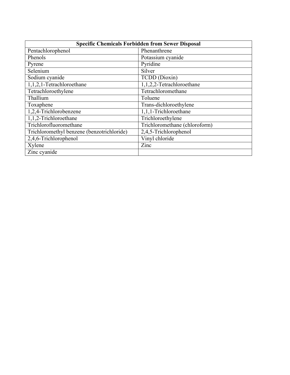| <b>Specific Chemicals Forbidden from Sewer Disposal</b> |                               |  |
|---------------------------------------------------------|-------------------------------|--|
| Pentachlorophenol                                       | Phenanthrene                  |  |
| Phenols                                                 | Potassium cyanide             |  |
| Pyrene                                                  | Pyridine                      |  |
| Selenium                                                | Silver                        |  |
| Sodium cyanide                                          | TCDD (Dioxin)                 |  |
| 1,1,2,1-Tetrachloroethane                               | 1,1,2,2-Tetrachloroethane     |  |
| Tetrachloroethylene                                     | Tetrachloromethane            |  |
| Thallium                                                | Toluene                       |  |
| Toxaphene                                               | Trans-dichloroethylene        |  |
| 1,2,4-Trichlorobenzene                                  | 1,1,1-Trichloroethane         |  |
| 1,1,2-Trichloroethane                                   | Trichloroethylene             |  |
| Trichlorofluoromethane                                  | Trichloromethane (chloroform) |  |
| Trichloromethyl benzene (benzotrichloride)              | 2,4,5-Trichlorophenol         |  |
| 2,4,6-Trichlorophenol                                   | Vinyl chloride                |  |
| Xylene                                                  | Zinc                          |  |
| Zinc cyanide                                            |                               |  |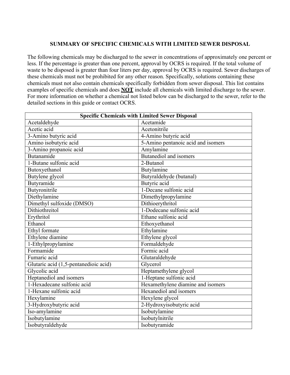#### **SUMMARY OF SPECIFIC CHEMICALS WITH LIMITED SEWER DISPOSAL**

The following chemicals may be discharged to the sewer in concentrations of approximately one percent or less. If the percentage is greater than one percent, approval by OCRS is required. If the total volume of waste to be disposed is greater than four liters per day, approval by OCRS is required. Sewer discharges of these chemicals must not be prohibited for any other reason. Specifically, solutions containing these chemicals must not also contain chemicals specifically forbidden from sewer disposal. This list contains examples of specific chemicals and does **NOT** include all chemicals with limited discharge to the sewer. For more information on whether a chemical not listed below can be discharged to the sewer, refer to the detailed sections in this guide or contact OCRS.

| <b>Specific Chemicals with Limited Sewer Disposal</b> |                                    |  |
|-------------------------------------------------------|------------------------------------|--|
| Acetaldehyde                                          | Acetamide                          |  |
| Acetic acid                                           | Acetonitrile                       |  |
| 3-Amino butyric acid                                  | 4-Amino butyric acid               |  |
| Amino isobutyric acid                                 | 5-Amino pentanoic acid and isomers |  |
| 3-Amino propanoic acid                                | Amylamine                          |  |
| Butanamide                                            | Butanediol and isomers             |  |
| 1-Butane sulfonic acid                                | 2-Butanol                          |  |
| Butoxyethanol                                         | Butylamine                         |  |
| Butylene glycol                                       | Butyraldehyde (butanal)            |  |
| Butyramide                                            | Butyric acid                       |  |
| Butyronitrile                                         | 1-Decane sulfonic acid             |  |
| Diethylamine                                          | Dimethylpropylamine                |  |
| Dimethyl sulfoxide (DMSO)                             | Dithioerythritol                   |  |
| Dithiothreitol                                        | 1-Dodecane sulfonic acid           |  |
| Erythritol                                            | Ethane sulfonic acid               |  |
| Ethanol                                               | Ethoxyethanol                      |  |
| Ethyl formate                                         | Ethylamine                         |  |
| Ethylene diamine                                      | Ethylene glycol                    |  |
| 1-Ethylpropylamine                                    | Formaldehyde                       |  |
| Formamide                                             | Formic acid                        |  |
| Fumaric acid                                          | Glutaraldehyde                     |  |
| Glutaric acid (1,5-pentanedioic acid)                 | Glycerol                           |  |
| Glycolic acid                                         | Heptamethylene glycol              |  |
| Heptanediol and isomers                               | 1-Heptane sulfonic acid            |  |
| 1-Hexadecane sulfonic acid                            | Hexamethylene diamine and isomers  |  |
| 1-Hexane sulfonic acid                                | Hexanediol and isomers             |  |
| Hexylamine                                            | Hexylene glycol                    |  |
| 3-Hydroxybutyric acid                                 | 2-Hydroxyisobutyric acid           |  |
| Iso-amylamine                                         | Isobutylamine                      |  |
| Isobutylamine                                         | Isobutylnitrile                    |  |
| Isobutyraldehyde                                      | Isobutyramide                      |  |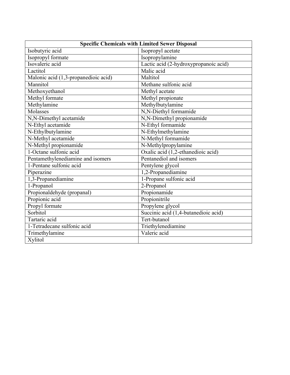| <b>Specific Chemicals with Limited Sewer Disposal</b> |                                       |
|-------------------------------------------------------|---------------------------------------|
| Isobutyric acid                                       | Isopropyl acetate                     |
| Isopropyl formate                                     | Isopropylamine                        |
| Isovaleric acid                                       | Lactic acid (2-hydroxypropanoic acid) |
| Lactitol                                              | Malic acid                            |
| Malonic acid (1,3-propanedioic acid)                  | Maltitol                              |
| Mannitol                                              | Methane sulfonic acid                 |
| Methoxyethanol                                        | Methyl acetate                        |
| Methyl formate                                        | Methyl propionate                     |
| Methylamine                                           | Methylbutylamine                      |
| Molasses                                              | N,N-Diethyl formamide                 |
| N,N-Dimethyl acetamide                                | N,N-Dimethyl propionamide             |
| N-Ethyl acetamide                                     | N-Ethyl formamide                     |
| N-Ethylbutylamine                                     | N-Ethylmethylamine                    |
| N-Methyl acetamide                                    | N-Methyl formamide                    |
| N-Methyl propionamide                                 | N-Methylpropylamine                   |
| 1-Octane sulfonic acid                                | Oxalic acid (1,2-ethanedioic acid)    |
| Pentamethylenediamine and isomers                     | Pentanediol and isomers               |
| 1-Pentane sulfonic acid                               | Pentylene glycol                      |
| Piperazine                                            | 1,2-Propanediamine                    |
| 1,3-Propanediamine                                    | 1-Propane sulfonic acid               |
| 1-Propanol                                            | 2-Propanol                            |
| Propionaldehyde (propanal)                            | Propionamide                          |
| Propionic acid                                        | Propionitrile                         |
| Propyl formate                                        | Propylene glycol                      |
| Sorbitol                                              | Succinic acid (1,4-butanedioic acid)  |
| Tartaric acid                                         | Tert-butanol                          |
| 1-Tetradecane sulfonic acid                           | Triethylenediamine                    |
| Trimethylamine                                        | Valeric acid                          |
| Xylitol                                               |                                       |